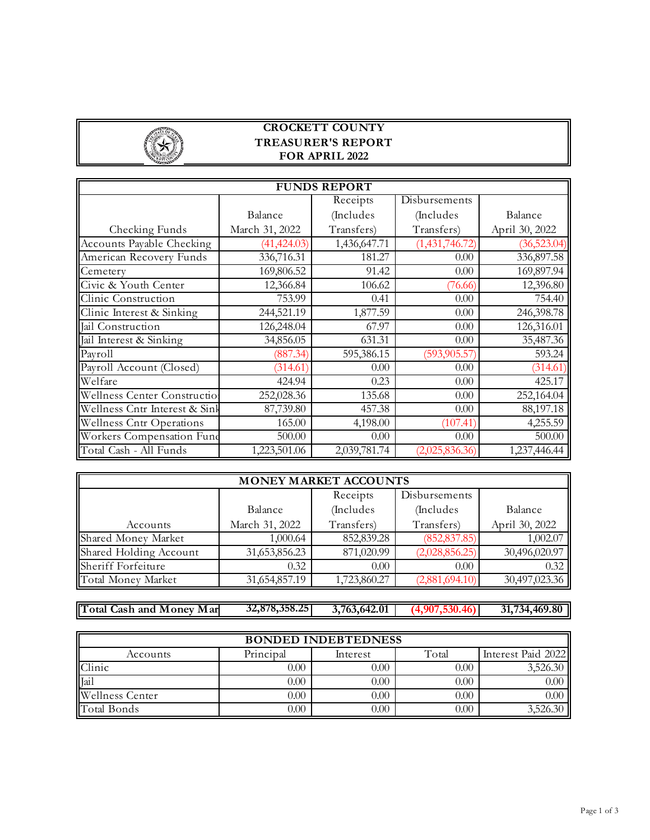

| <b>FUNDS REPORT</b>              |                |              |                |                |  |  |  |  |
|----------------------------------|----------------|--------------|----------------|----------------|--|--|--|--|
|                                  |                | Receipts     | Disbursements  |                |  |  |  |  |
|                                  | Balance        | (Includes    | (Includes      | Balance        |  |  |  |  |
| Checking Funds                   | March 31, 2022 | Transfers)   | Transfers)     | April 30, 2022 |  |  |  |  |
| Accounts Payable Checking        | (41, 424.03)   | 1,436,647.71 | (1,431,746.72) | (36,523.04)    |  |  |  |  |
| American Recovery Funds          | 336,716.31     | 181.27       | 0.00           | 336,897.58     |  |  |  |  |
| Cemetery                         | 169,806.52     | 91.42        | 0.00           | 169,897.94     |  |  |  |  |
| Civic & Youth Center             | 12,366.84      | 106.62       | (76.66)        | 12,396.80      |  |  |  |  |
| Clinic Construction              | 753.99         | 0.41         | 0.00           | 754.40         |  |  |  |  |
| Clinic Interest & Sinking        | 244,521.19     | 1,877.59     | 0.00           | 246,398.78     |  |  |  |  |
| Jail Construction                | 126,248.04     | 67.97        | 0.00           | 126,316.01     |  |  |  |  |
| Jail Interest & Sinking          | 34,856.05      | 631.31       | 0.00           | 35,487.36      |  |  |  |  |
| Payroll                          | (887.34)       | 595,386.15   | (593, 905.57)  | 593.24         |  |  |  |  |
| Payroll Account (Closed)         | (314.61)       | 0.00         | 0.00           | (314.61)       |  |  |  |  |
| Welfare                          | 424.94         | 0.23         | 0.00           | 425.17         |  |  |  |  |
| Wellness Center Construction     | 252,028.36     | 135.68       | 0.00           | 252,164.04     |  |  |  |  |
| Wellness Cntr Interest & Sink    | 87,739.80      | 457.38       | 0.00           | 88,197.18      |  |  |  |  |
| <b>Wellness Cntr Operations</b>  | 165.00         | 4,198.00     | (107.41)       | 4,255.59       |  |  |  |  |
| <b>Workers Compensation Fund</b> | 500.00         | 0.00         | 0.00           | 500.00         |  |  |  |  |
| Total Cash - All Funds           | 1,223,501.06   | 2,039,781.74 | (2,025,836.36) | 1,237,446.44   |  |  |  |  |

| <b>MONEY MARKET ACCOUNTS</b> |                |              |                |                |  |  |  |  |
|------------------------------|----------------|--------------|----------------|----------------|--|--|--|--|
|                              |                | Receipts     | Disbursements  |                |  |  |  |  |
|                              | Balance        | (Includes    | (Includes)     | Balance        |  |  |  |  |
| Accounts                     | March 31, 2022 | Transfers)   | Transfers)     | April 30, 2022 |  |  |  |  |
| Shared Money Market          | 1,000.64       | 852,839.28   | (852, 837.85)  | 1,002.07       |  |  |  |  |
| Shared Holding Account       | 31,653,856.23  | 871,020.99   | (2,028,856.25) | 30,496,020.97  |  |  |  |  |
| Sheriff Forfeiture           | 0.32           | 0.00         | 0.00           | 0.32           |  |  |  |  |
| Total Money Market           | 31,654,857.19  | 1,723,860.27 | (2,881,694.10) | 30,497,023.36  |  |  |  |  |

**Total Cash and Money Mar 32,878,358.25 3,763,642.01 (4,907,530.46) 31,734,469.80**

Accounts Principal Interest Total Interest Paid 2022 Clinic  $0.00$  0.00 0.00 0.00 3,526.30  $\text{Jail} \quad 0.00 \quad 0.00 \quad 0.00 \quad 0.00$  $\text{Wellness Center} \quad 0.00 \quad 0.00 \quad 0.00 \quad 0.00$  $Total Bonds$  0.00 0.00 0.00 0.00 3,526.30 **BONDED INDEBTEDNESS**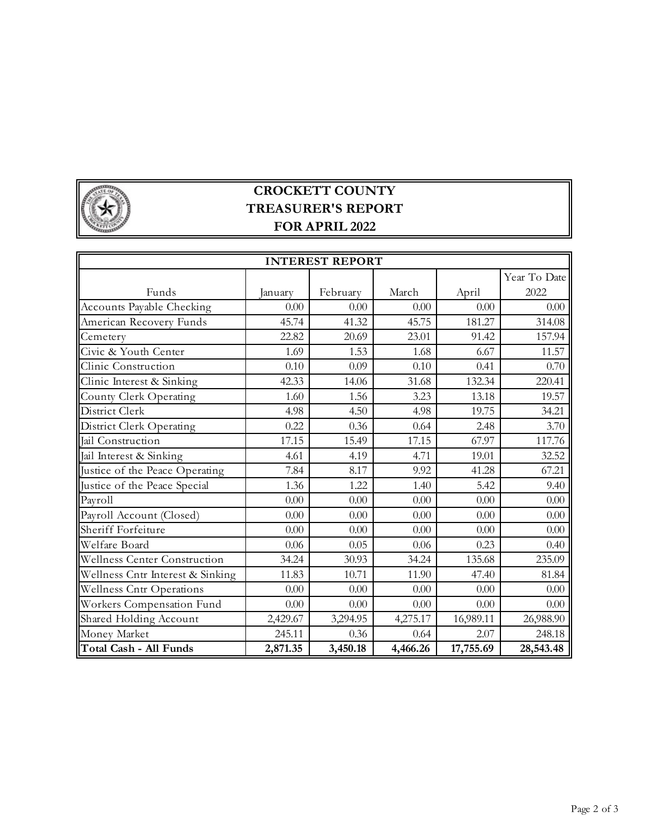

| <b>INTEREST REPORT</b>              |          |          |          |           |              |  |  |
|-------------------------------------|----------|----------|----------|-----------|--------------|--|--|
|                                     |          |          |          |           | Year To Date |  |  |
| Funds                               | January  | February | March    | April     | 2022         |  |  |
| <b>Accounts Payable Checking</b>    | 0.00     | 0.00     | 0.00     | 0.00      | 0.00         |  |  |
| American Recovery Funds             | 45.74    | 41.32    | 45.75    | 181.27    | 314.08       |  |  |
| Cemetery                            | 22.82    | 20.69    | 23.01    | 91.42     | 157.94       |  |  |
| Civic & Youth Center                | 1.69     | 1.53     | 1.68     | 6.67      | 11.57        |  |  |
| Clinic Construction                 | 0.10     | 0.09     | 0.10     | 0.41      | 0.70         |  |  |
| Clinic Interest & Sinking           | 42.33    | 14.06    | 31.68    | 132.34    | 220.41       |  |  |
| County Clerk Operating              | 1.60     | 1.56     | 3.23     | 13.18     | 19.57        |  |  |
| District Clerk                      | 4.98     | 4.50     | 4.98     | 19.75     | 34.21        |  |  |
| District Clerk Operating            | 0.22     | 0.36     | 0.64     | 2.48      | 3.70         |  |  |
| Jail Construction                   | 17.15    | 15.49    | 17.15    | 67.97     | 117.76       |  |  |
| Jail Interest & Sinking             | 4.61     | 4.19     | 4.71     | 19.01     | 32.52        |  |  |
| Justice of the Peace Operating      | 7.84     | 8.17     | 9.92     | 41.28     | 67.21        |  |  |
| Justice of the Peace Special        | 1.36     | 1.22     | 1.40     | 5.42      | 9.40         |  |  |
| Payroll                             | 0.00     | 0.00     | $0.00\,$ | 0.00      | 0.00         |  |  |
| Payroll Account (Closed)            | 0.00     | 0.00     | 0.00     | 0.00      | 0.00         |  |  |
| Sheriff Forfeiture                  | 0.00     | 0.00     | 0.00     | 0.00      | 0.00         |  |  |
| Welfare Board                       | 0.06     | 0.05     | 0.06     | 0.23      | 0.40         |  |  |
| <b>Wellness Center Construction</b> | 34.24    | 30.93    | 34.24    | 135.68    | 235.09       |  |  |
| Wellness Cntr Interest & Sinking    | 11.83    | 10.71    | 11.90    | 47.40     | 81.84        |  |  |
| <b>Wellness Cntr Operations</b>     | 0.00     | 0.00     | 0.00     | 0.00      | 0.00         |  |  |
| Workers Compensation Fund           | 0.00     | 0.00     | 0.00     | 0.00      | 0.00         |  |  |
| Shared Holding Account              | 2,429.67 | 3,294.95 | 4,275.17 | 16,989.11 | 26,988.90    |  |  |
| Money Market                        | 245.11   | 0.36     | 0.64     | 2.07      | 248.18       |  |  |
| Total Cash - All Funds              | 2,871.35 | 3,450.18 | 4,466.26 | 17,755.69 | 28,543.48    |  |  |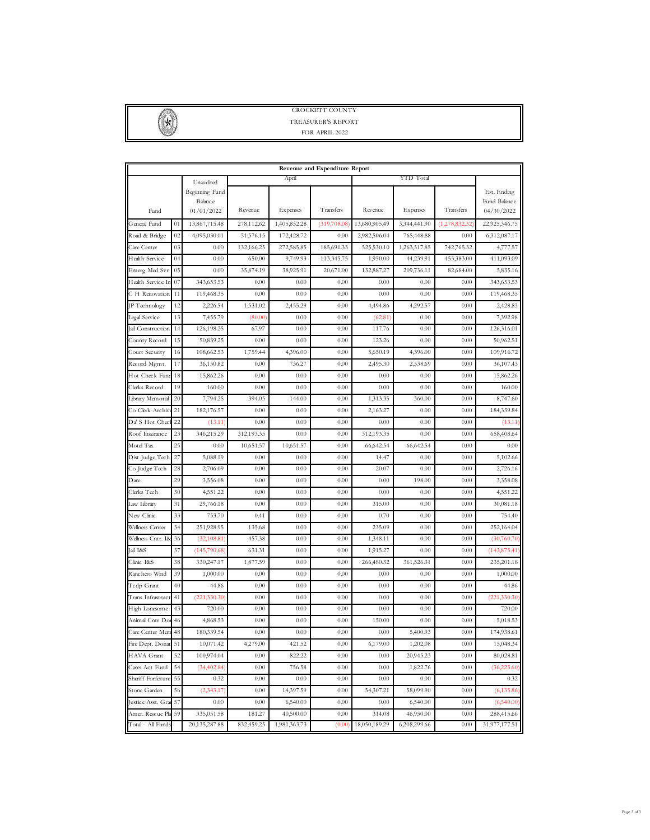

| Revenue and Expenditure Report |                    |                                                |            |              |              |               |              |                |                                           |
|--------------------------------|--------------------|------------------------------------------------|------------|--------------|--------------|---------------|--------------|----------------|-------------------------------------------|
|                                | April<br>Unaudited |                                                | YTD Total  |              |              |               |              |                |                                           |
| Fund                           |                    | Beginning Fund<br><b>Balance</b><br>01/01/2022 | Revenue    | Expenses     | Transfers    | Revenue       | Expenses     | Transfers      | Est. Ending<br>Fund Balance<br>04/30/2022 |
| General Fund                   | 01                 | 13,867,715.48                                  | 278,112.62 | 1,405,852.28 | (319,708.08) | 13,680,905.49 | 3,344,441.90 | (1,278,832.32) | 22,925,346.75                             |
| Road & Bridge                  | 02                 | 4,095,030.01                                   | 51,576.15  | 172,428.72   | 0.00         | 2,982,506.04  | 765,448.88   | 0.00           | 6,312,087.17                              |
| Care Center                    | 03                 | 0.00                                           | 132,166.25 | 272,585.85   | 185,691.33   | 525,530.10    | 1,263,517.85 | 742,765.32     | 4,777.57                                  |
| Health Service                 | 04                 | 0.00                                           | 650.00     | 9,749.93     | 113,345.75   | 1,950.00      | 44,239.91    | 453,383.00     | 411,093.09                                |
| Emerg Med Svr                  | 05                 | 0.00                                           | 35,874.19  | 38,925.91    | 20,671.00    | 132,887.27    | 209,736.11   | 82,684.00      | 5,835.16                                  |
| Health Service In              | 07                 | 343,653.53                                     | 0.00       | 0.00         | 0.00         | 0.00          | 0.00         | 0.00           | 343,653.53                                |
| C H Renovation                 | 11                 | 119,468.35                                     | 0.00       | 0.00         | 0.00         | 0.00          | 0.00         | 0.00           | 119,468.35                                |
| P Technology                   | 12                 | 2,226.54                                       | 1,531.02   | 2,455.29     | 0.00         | 4,494.86      | 4,292.57     | 0.00           | 2,428.83                                  |
| Legal Service                  | 13                 | 7,455.79                                       | (80.00)    | 0.00         | 0.00         | (62.81)       | 0.00         | 0.00           | 7,392.98                                  |
| al Construction                | 14                 | 126,198.25                                     | 67.97      | 0.00         | 0.00         | 117.76        | 0.00         | 0.00           | 126,316.01                                |
| County Record                  | 15                 | 50,839.25                                      | 0.00       | 0.00         | 0.00         | 123.26        | 0.00         | 0.00           | 50,962.51                                 |
| Court Security                 | 16                 | 108,662.53                                     | 1,759.44   | 4,396.00     | 0.00         | 5,650.19      | 4,396.00     | 0.00           | 109,916.72                                |
| Record Mgmt.                   | 17                 | 36,150.82                                      | 0.00       | 736.27       | 0.00         | 2,495.30      | 2,538.69     | 0.00           | 36,107.43                                 |
| Hot Check Fun                  | 18                 | 15,862.26                                      | 0.00       | 0.00         | 0.00         | 0.00          | 0.00         | 0.00           | 15,862.26                                 |
| Clerks Record                  | 19                 | 160.00                                         | 0.00       | 0.00         | 0.00         | 0.00          | 0.00         | 0.00           | 160.00                                    |
| Library Memorial               | 20                 | 7,794.25                                       | 394.05     | 144.00       | 0.00         | 1,313.35      | 360.00       | 0.00           | 8,747.60                                  |
| Co Clerk Archiv                | 21                 | 182,176.57                                     | 0.00       | 0.00         | 0.00         | 2,163.27      | 0.00         | 0.00           | 184,339.84                                |
| Da' S Hot Chec                 | 22                 | (13.11)                                        | 0.00       | 0.00         | 0.00         | 0.00          | 0.00         | 0.00           | (13.11)                                   |
| Roof Insurance                 | 23                 | 346,215.29                                     | 312,193.35 | 0.00         | 0.00         | 312,193.35    | 0.00         | 0.00           | 658,408.64                                |
| Motel Tax                      | 25                 | 0.00                                           | 10,651.57  | 10,651.57    | 0.00         | 66,642.54     | 66,642.54    | 0.00           | 0.00                                      |
| Dist Judge Tech                | 27                 | 5,088.19                                       | 0.00       | 0.00         | 0.00         | 14.47         | 0.00         | 0.00           | 5,102.66                                  |
| Co Judge Tech                  | 28                 | 2,706.09                                       | 0.00       | 0.00         | 0.00         | 20.07         | 0.00         | 0.00           | 2,726.16                                  |
| Dare                           | 29                 | 3,556.08                                       | 0.00       | 0.00         | 0.00         | 0.00          | 198.00       | 0.00           | 3,358.08                                  |
| Clerks Tech                    | 30                 | 4,551.22                                       | 0.00       | 0.00         | 0.00         | 0.00          | 0.00         | 0.00           | 4,551.22                                  |
| aw Library                     | 31                 | 29,766.18                                      | 0.00       | 0.00         | 0.00         | 315.00        | 0.00         | 0.00           | 30,081.18                                 |
| New Clinic                     | 33                 | 753.70                                         | 0.41       | 0.00         | 0.00         | 0.70          | 0.00         | 0.00           | 754.40                                    |
| Wellness Center                | 34                 | 251,928.95                                     | 135.68     | 0.00         | 0.00         | 235.09        | 0.00         | 0.00           | 252,164.04                                |
| Wellness Cntr. I&              | 36                 | (32,108.81)                                    | 457.38     | 0.00         | 0.00         | 1,348.11      | 0.00         | 0.00           | (30,760.70)                               |
| ail I&S                        | 37                 | (145,790.68)                                   | 631.31     | 0.00         | 0.00         | 1,915.27      | 0.00         | 0.00           | (143, 875.41)                             |
| Clinic I&S                     | 38                 | 330,247.17                                     | 1,877.59   | 0.00         | 0.00         | 266,480.32    | 361,526.31   | 0.00           | 235,201.18                                |
| Ranchero Wind                  | 39                 | 1,000.00                                       | 0.00       | 0.00         | 0.00         | 0.00          | 0.00         | 0.00           | 1,000.00                                  |
| Tedp Grant                     | 40                 | 44.86                                          | 0.00       | 0.00         | 0.00         | 0.00          | 0.00         | 0.00           | 44.86                                     |
| Trans Infrastruc               | 41                 | (221,330.30)                                   | 0.00       | 0.00         | 0.00         | 0.00          | 0.00         | 0.00           | (221,330.30)                              |
| High Lonesome                  | 43                 | 720.00                                         | 0.00       | 0.00         | 0.00         | 0.00          | $_{0.00}$    | 0.00           | 720.00                                    |
| Animal Cntr Do                 | 46                 | 4,868.53                                       | 0.00       | 0.00         | 0.00         | 150.00        | 0.00         | 0.00           | 5,018.53                                  |
| Care Center Mem                | 48                 | 180,339.54                                     | 0.00       | 0.00         | 0.00         | 0.00          | 5,400.93     | 0.00           | 174,938.61                                |
| Fire Dept. Donat               | 51                 | 10,071.42                                      | 4,279.00   | 421.52       | 0.00         | 6,179.00      | 1,202.08     | 0.00           | 15,048.34                                 |
| HAVA Grant                     | 52                 | 100,974.04                                     | 0.00       | 822.22       | 0.00         | 0.00          | 20,945.23    | 0.00           | 80,028.81                                 |
| Cares Act Fund                 | 54                 | (34,402.84)                                    | $0.00\,$   | 756.58       | 0.00         | 0.00          | 1,822.76     | 0.00           | (36,225.60)                               |
| Sheriff Forfeitur              | 55                 | 0.32                                           | 0.00       | 0.00         | 0.00         | 0.00          | 0.00         | 0.00           | 0.32                                      |
| Stone Garden                   | 56                 | (2,343.17)                                     | $0.00\,$   | 14,397.59    | 0.00         | 54,307.21     | 58,099.90    | 0.00           | (6,135.86)                                |
| Justice Asst. Gra              | 57                 | 0.00                                           | 0.00       | 6,540.00     | 0.00         | 0.00          | 6,540.00     | 0.00           | (6,540.00)                                |
| Amer. Rescue Pl                | 59                 | 335,051.58                                     | 181.27     | 40,500.00    | 0.00         | 314.08        | 46,950.00    | 0.00           | 288,415.66                                |
| Total - All Funds              |                    | 20,135,287.88                                  | 832,459.25 | 1,981,363.73 | (0.00)       | 18,050,189.29 | 6,208,299.66 | 0.00           | 31,977,177.51                             |